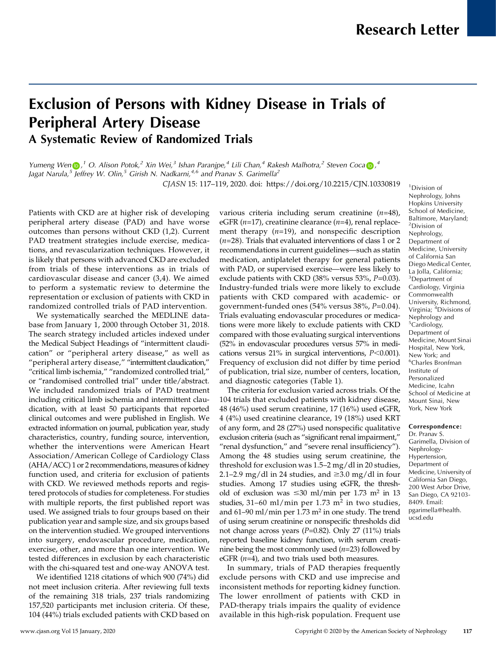# Exclusion of Persons with Kidney Disease in Trials of Peripheral Artery Disease A Systematic Review of Randomized Trials

Yumeng Wen $\binom{n}{2}$ ,<sup>1</sup> O. Alison Potok,<sup>2</sup> Xin Wei,<sup>3</sup> Ishan Paranjpe,<sup>4</sup> Lili Chan,<sup>4</sup> Rakesh Malhotra,<sup>2</sup> Steven Coca $\binom{n}{2}$ ,<sup>4</sup> Jagat Narula,<sup>5</sup> Jeffrey W. Olin,<sup>5</sup> Girish N. Nadkarni,<sup>4,6</sup> and Pranav S. Garimella<sup>2</sup>

CJASN 15: 117–119, 2020. doi:<https://doi.org/10.2215/CJN.10330819>

Patients with CKD are at higher risk of developing peripheral artery disease (PAD) and have worse outcomes than persons without CKD (1,2). Current PAD treatment strategies include exercise, medications, and revascularization techniques. However, it is likely that persons with advanced CKD are excluded from trials of these interventions as in trials of cardiovascular disease and cancer (3,4). We aimed to perform a systematic review to determine the representation or exclusion of patients with CKD in randomized controlled trials of PAD intervention.

We systematically searched the MEDLINE database from January 1, 2000 through October 31, 2018. The search strategy included articles indexed under the Medical Subject Headings of "intermittent claudication" or "peripheral artery disease," as well as "peripheral artery disease," "intermittent claudication," "critical limb ischemia," "randomized controlled trial," or "randomised controlled trial" under title/abstract. We included randomized trials of PAD treatment including critical limb ischemia and intermittent claudication, with at least 50 participants that reported clinical outcomes and were published in English. We extracted information on journal, publication year, study characteristics, country, funding source, intervention, whether the interventions were American Heart Association/American College of Cardiology Class (AHA/ACC) 1 or 2 recommendations, measures of kidney function used, and criteria for exclusion of patients with CKD. We reviewed methods reports and registered protocols of studies for completeness. For studies with multiple reports, the first published report was used. We assigned trials to four groups based on their publication year and sample size, and six groups based on the intervention studied. We grouped interventions into surgery, endovascular procedure, medication, exercise, other, and more than one intervention. We tested differences in exclusion by each characteristic with the chi-squared test and one-way ANOVA test.

We identified 1218 citations of which 900 (74%) did not meet inclusion criteria. After reviewing full texts of the remaining 318 trials, 237 trials randomizing 157,520 participants met inclusion criteria. Of these, 104 (44%) trials excluded patients with CKD based on various criteria including serum creatinine  $(n=48)$ , eGFR ( $n=17$ ), creatinine clearance ( $n=4$ ), renal replacement therapy  $(n=19)$ , and nonspecific description  $(n=28)$ . Trials that evaluated interventions of class 1 or 2 recommendations in current guidelines—such as statin medication, antiplatelet therapy for general patients with PAD, or supervised exercise—were less likely to exclude patients with CKD (38% versus 53%, P=0.03). Industry-funded trials were more likely to exclude patients with CKD compared with academic- or government-funded ones (54% versus 38%, P=0.04). Trials evaluating endovascular procedures or medications were more likely to exclude patients with CKD compared with those evaluating surgical interventions (52% in endovascular procedures versus 57% in medications versus  $21\%$  in surgical interventions,  $P<0.001$ ). Frequency of exclusion did not differ by time period of publication, trial size, number of centers, location, and diagnostic categories (Table 1).

The criteria for exclusion varied across trials. Of the 104 trials that excluded patients with kidney disease, 48 (46%) used serum creatinine, 17 (16%) used eGFR, 4 (4%) used creatinine clearance, 19 (18%) used KRT of any form, and 28 (27%) used nonspecific qualitative exclusion criteria (such as "significant renal impairment," "renal dysfunction," and "severe renal insufficiency"). Among the 48 studies using serum creatinine, the threshold for exclusion was 1.5–2 mg/dl in 20 studies, 2.1–2.9 mg/dl in 24 studies, and  $\geq$ 3.0 mg/dl in four studies. Among 17 studies using eGFR, the threshold of exclusion was  $\leq 30$  ml/min per 1.73 m<sup>2</sup> in 13 studies,  $31-60$  ml/min per 1.73 m<sup>2</sup> in two studies, and  $61-90$  ml/min per  $1.73$  m<sup>2</sup> in one study. The trend of using serum creatinine or nonspecific thresholds did not change across years  $(P=0.82)$ . Only 27 (11%) trials reported baseline kidney function, with serum creatinine being the most commonly used  $(n=23)$  followed by eGFR  $(n=4)$ , and two trials used both measures.

In summary, trials of PAD therapies frequently exclude persons with CKD and use imprecise and inconsistent methods for reporting kidney function. The lower enrollment of patients with CKD in PAD-therapy trials impairs the quality of evidence available in this high-risk population. Frequent use

1 Division of Nephrology, Johns Hopkins University School of Medicine, Baltimore, Maryland; 2 Division of Nephrology, Department of Medicine, University of California San Diego Medical Center, La Jolla, California; <sup>3</sup>Department of Cardiology, Virginia Commonwealth University, Richmond, Virginia; <sup>4</sup>Divisions of Nephrology and <sup>5</sup>Cardiology, Department of Medicine, Mount Sinai Hospital, New York, New York; and 6 Charles Bronfman Institute of Personalized Medicine, Icahn School of Medicine at Mount Sinai, New York, New York

### Correspondence:

Dr. Pranav S. Garimella, Division of Nephrology-Hypertension, Department of Medicine, University of California San Diego, 200 West Arbor Drive, San Diego, CA 92103- 8409. Email: [pgarimella@health.](mailto:pgarimella@health.ucsd.edu) [ucsd.edu](mailto:pgarimella@health.ucsd.edu)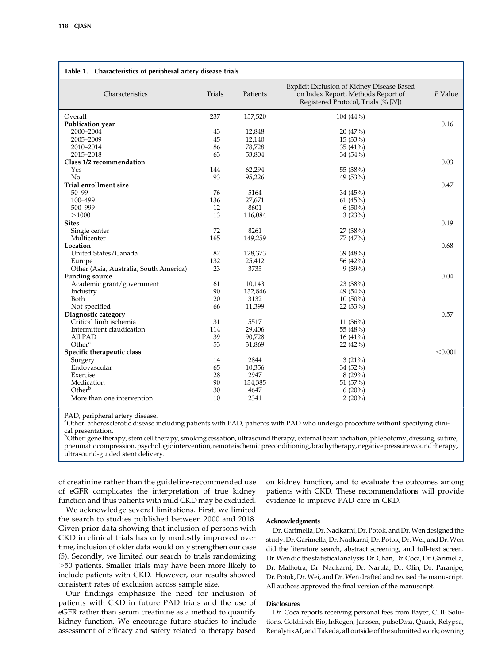| Table 1. Characteristics of peripheral artery disease trials |        |          |                                                                                                                         |           |
|--------------------------------------------------------------|--------|----------|-------------------------------------------------------------------------------------------------------------------------|-----------|
| Characteristics                                              | Trials | Patients | Explicit Exclusion of Kidney Disease Based<br>on Index Report, Methods Report of<br>Registered Protocol, Trials (% [N]) | $P$ Value |
| Overall                                                      | 237    | 157,520  | 104 (44%)                                                                                                               |           |
| Publication year                                             |        |          |                                                                                                                         | 0.16      |
| 2000-2004                                                    | 43     | 12,848   | 20 (47%)                                                                                                                |           |
| 2005-2009                                                    | 45     | 12,140   | 15(33%)                                                                                                                 |           |
| 2010-2014                                                    | 86     | 78,728   | 35 $(41\%)$                                                                                                             |           |
| 2015-2018                                                    | 63     | 53,804   | 34 (54%)                                                                                                                |           |
| Class 1/2 recommendation                                     |        |          |                                                                                                                         | 0.03      |
| Yes                                                          | 144    | 62,294   | 55 (38%)                                                                                                                |           |
| No                                                           | 93     | 95,226   | 49 (53%)                                                                                                                |           |
| Trial enrollment size                                        |        |          |                                                                                                                         | 0.47      |
| $50 - 99$                                                    | 76     | 5164     | 34 (45%)                                                                                                                |           |
| 100-499                                                      | 136    | 27,671   | 61(45%)                                                                                                                 |           |
| 500-999                                                      | 12     | 8601     | $6(50\%)$                                                                                                               |           |
| >1000                                                        | 13     | 116,084  | 3(23%)                                                                                                                  |           |
| <b>Sites</b>                                                 |        |          |                                                                                                                         | 0.19      |
| Single center                                                | 72     | 8261     | 27 (38%)                                                                                                                |           |
| Multicenter                                                  | 165    | 149,259  | 77 (47%)                                                                                                                |           |
| Location                                                     |        |          |                                                                                                                         | 0.68      |
| United States/Canada                                         | 82     | 128,373  | 39 (48%)                                                                                                                |           |
| Europe                                                       | 132    | 25,412   | 56 (42%)                                                                                                                |           |
| Other (Asia, Australia, South America)                       | 23     | 3735     | $9(39\%)$                                                                                                               |           |
| <b>Funding source</b>                                        |        |          |                                                                                                                         | 0.04      |
| Academic grant/government                                    | 61     | 10,143   | 23 (38%)                                                                                                                |           |
| Industry                                                     | 90     | 132,846  | 49 (54%)                                                                                                                |           |
| Both                                                         | 20     | 3132     | $10(50\%)$                                                                                                              |           |
| Not specified                                                | 66     | 11,399   | 22(33%)                                                                                                                 |           |
| Diagnostic category                                          |        |          |                                                                                                                         | 0.57      |
| Critical limb ischemia                                       | 31     | 5517     | 11 $(36%)$                                                                                                              |           |
| Intermittent claudication                                    | 114    | 29,406   | 55 (48%)                                                                                                                |           |
| All PAD                                                      | 39     | 90,728   | $16(41\%)$                                                                                                              |           |
| Other <sup>a</sup>                                           | 53     | 31,869   | 22(42%)                                                                                                                 |           |
| Specific therapeutic class                                   |        |          |                                                                                                                         | < 0.001   |
| Surgery                                                      | 14     | 2844     | 3(21%)                                                                                                                  |           |
| Endovascular                                                 | 65     | 10,356   | 34 (52%)                                                                                                                |           |
| Exercise                                                     | 28     | 2947     | 8(29%)                                                                                                                  |           |
| Medication                                                   | 90     | 134,385  | 51 (57%)                                                                                                                |           |
| Other <sup>b</sup>                                           | 30     | 4647     | $6(20\%)$                                                                                                               |           |
| More than one intervention                                   | 10     | 2341     | $2(20\%)$                                                                                                               |           |

PAD, peripheral artery disease.

a Other: atherosclerotic disease including patients with PAD, patients with PAD who undergo procedure without specifying clinical presentation.

<sup>b</sup>Other: gene therapy, stem cell therapy, smoking cessation, ultrasound therapy, external beam radiation, phlebotomy, dressing, suture, pneumatic compression, psychologic intervention, remoteischemic preconditioning, brachytherapy, negative pressure wound therapy, ultrasound-guided stent delivery.

of creatinine rather than the guideline-recommended use of eGFR complicates the interpretation of true kidney function and thus patients with mild CKD may be excluded.

We acknowledge several limitations. First, we limited the search to studies published between 2000 and 2018. Given prior data showing that inclusion of persons with CKD in clinical trials has only modestly improved over time, inclusion of older data would only strengthen our case (5). Secondly, we limited our search to trials randomizing .50 patients. Smaller trials may have been more likely to include patients with CKD. However, our results showed consistent rates of exclusion across sample size.

Our findings emphasize the need for inclusion of patients with CKD in future PAD trials and the use of eGFR rather than serum creatinine as a method to quantify kidney function. We encourage future studies to include assessment of efficacy and safety related to therapy based on kidney function, and to evaluate the outcomes among patients with CKD. These recommendations will provide evidence to improve PAD care in CKD.

#### Acknowledgments

Dr. Garimella, Dr. Nadkarni, Dr. Potok, and Dr.Wen designed the study. Dr. Garimella, Dr. Nadkarni, Dr. Potok, Dr.Wei, and Dr.Wen did the literature search, abstract screening, and full-text screen. Dr.Wendid the statistical analysis.Dr.Chan,Dr.Coca,Dr.Garimella, Dr. Malhotra, Dr. Nadkarni, Dr. Narula, Dr. Olin, Dr. Paranjpe, Dr. Potok, Dr. Wei, and Dr. Wen drafted and revised the manuscript. All authors approved the final version of the manuscript.

# **Disclosures**

Dr. Coca reports receiving personal fees from Bayer, CHF Solutions, Goldfinch Bio, InRegen, Janssen, pulseData, Quark, Relypsa, RenalytixAI, and Takeda, all outside of the submitted work; owning